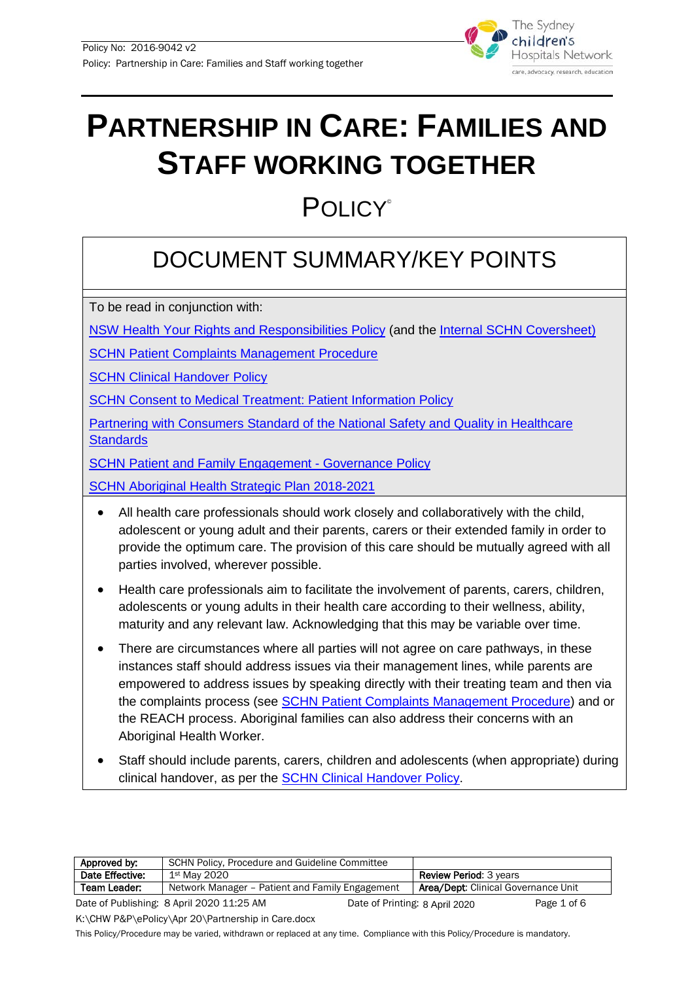

# **PARTNERSHIP IN CARE: FAMILIES AND STAFF WORKING TOGETHER**

## **POLICY**®

### DOCUMENT SUMMARY/KEY POINTS

To be read in conjunction with:

[NSW Health Your Rights and Responsibilities](http://www.health.nsw.gov.au/policies/pd/2011/pdf/PD2011_022.pdf) Policy (and the [Internal SCHN Coversheet\)](http://webapps.schn.health.nsw.gov.au/epolicy/policy/4369)

[SCHN Patient Complaints Management Procedure](http://webapps.schn.health.nsw.gov.au/epolicy/policy/4417)

**[SCHN Clinical Handover Policy](http://webapps.schn.health.nsw.gov.au/epolicy/policy/4478)** 

**[SCHN Consent to Medical Treatment: Patient Information Policy](http://webapps.schn.health.nsw.gov.au/epolicy/policy/4493)** 

[Partnering with Consumers Standard of the National Safety and Quality in Healthcare](https://www.safetyandquality.gov.au/standards/nsqhs-standards/partnering-consumers-standard)  **Standards** 

[SCHN Patient and Family Engagement -](http://webapps.schn.health.nsw.gov.au/epolicy/policy/4418) Governance Policy

[SCHN Aboriginal Health Strategic Plan 2018-2021](https://www.schn.health.nsw.gov.au/about/network-management/aboriginal-health)

- All health care professionals should work closely and collaboratively with the child, adolescent or young adult and their parents, carers or their extended family in order to provide the optimum care. The provision of this care should be mutually agreed with all parties involved, wherever possible.
- Health care professionals aim to facilitate the involvement of parents, carers, children, adolescents or young adults in their health care according to their wellness, ability, maturity and any relevant law. Acknowledging that this may be variable over time.
- There are circumstances where all parties will not agree on care pathways, in these instances staff should address issues via their management lines, while parents are empowered to address issues by speaking directly with their treating team and then via the complaints process (see **SCHN Patient Complaints Management Procedure**) and or the REACH process. Aboriginal families can also address their concerns with an Aboriginal Health Worker.
- Staff should include parents, carers, children and adolescents (when appropriate) during clinical handover, as per the **SCHN Clinical Handover Policy**.

| Approved by:    | SCHN Policy, Procedure and Guideline Committee  |                                |                                            |             |
|-----------------|-------------------------------------------------|--------------------------------|--------------------------------------------|-------------|
| Date Effective: | 1st May 2020                                    |                                | <b>Review Period: 3 years</b>              |             |
| Team Leader:    | Network Manager – Patient and Family Engagement |                                | <b>Area/Dept: Clinical Governance Unit</b> |             |
|                 | Date of Publishing: 8 April 2020 11:25 AM       | Date of Printing: 8 April 2020 |                                            | Page 1 of 6 |

K:\CHW P&P\ePolicy\Apr 20\Partnership in Care.docx

This Policy/Procedure may be varied, withdrawn or replaced at any time. Compliance with this Policy/Procedure is mandatory.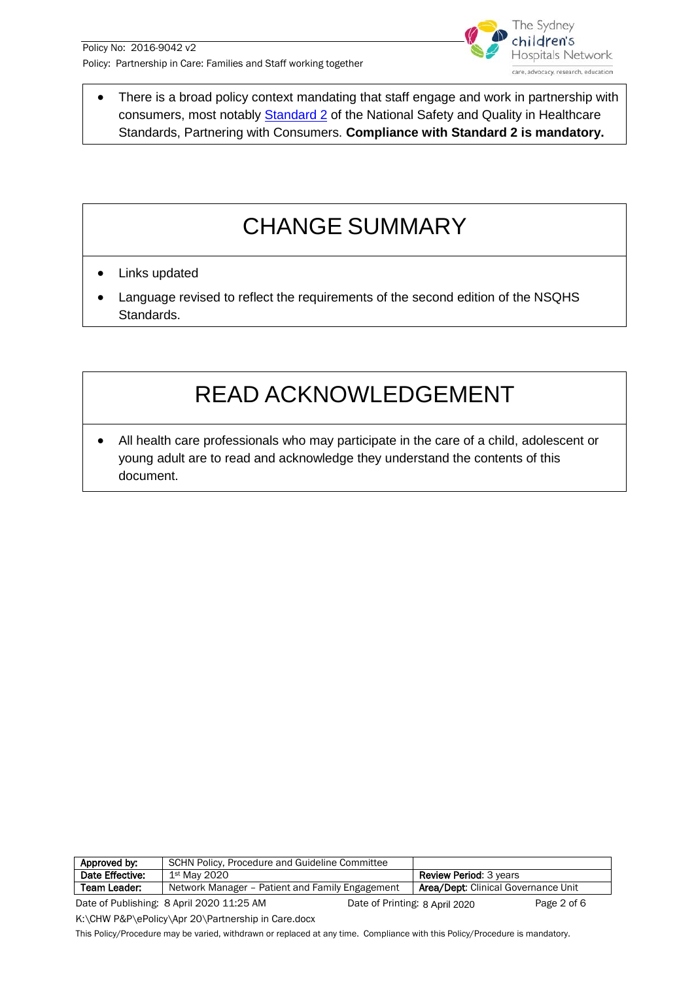

There is a broad policy context mandating that staff engage and work in partnership with consumers, most notably **Standard 2** of the National Safety and Quality in Healthcare Standards, Partnering with Consumers. **Compliance with Standard 2 is mandatory.**

### CHANGE SUMMARY

- Links updated
- Language revised to reflect the requirements of the second edition of the NSQHS Standards.

### READ ACKNOWLEDGEMENT

• All health care professionals who may participate in the care of a child, adolescent or young adult are to read and acknowledge they understand the contents of this document.

| Approved by:    | SCHN Policy, Procedure and Guideline Committee  |                                |                                            |             |
|-----------------|-------------------------------------------------|--------------------------------|--------------------------------------------|-------------|
| Date Effective: | 1st May 2020                                    |                                | <b>Review Period: 3 years</b>              |             |
| Team Leader:    | Network Manager – Patient and Family Engagement |                                | <b>Area/Dept: Clinical Governance Unit</b> |             |
|                 | Date of Publishing: 8 April 2020 11:25 AM       | Date of Printing: 8 April 2020 |                                            | Page 2 of 6 |

K:\CHW P&P\ePolicy\Apr 20\Partnership in Care.docx

This Policy/Procedure may be varied, withdrawn or replaced at any time. Compliance with this Policy/Procedure is mandatory.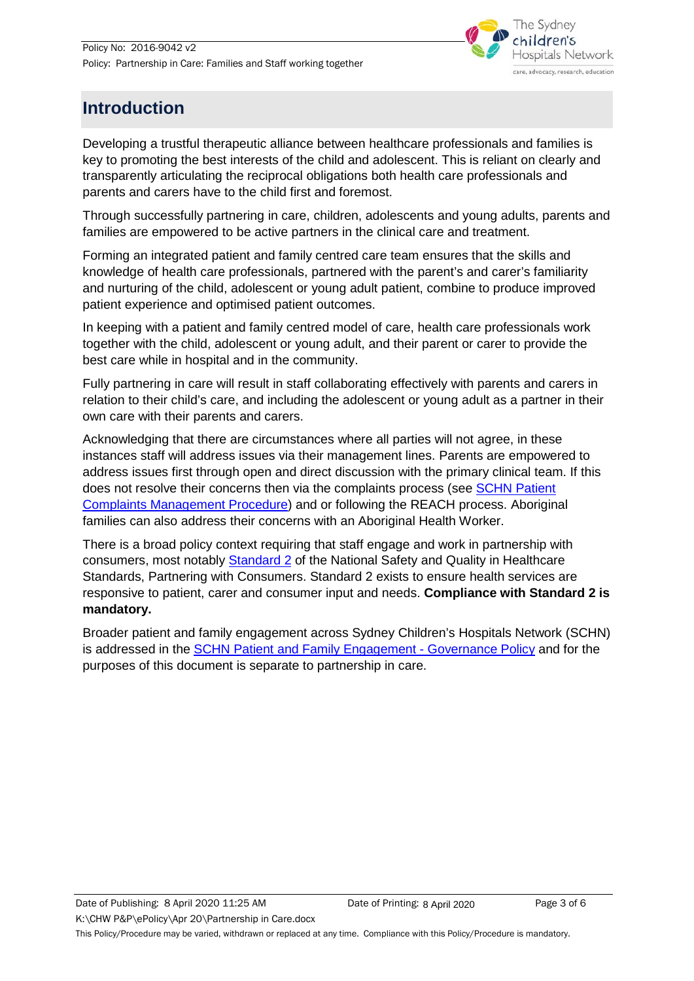

#### **Introduction**

Developing a trustful therapeutic alliance between healthcare professionals and families is key to promoting the best interests of the child and adolescent. This is reliant on clearly and transparently articulating the reciprocal obligations both health care professionals and parents and carers have to the child first and foremost.

Through successfully partnering in care, children, adolescents and young adults, parents and families are empowered to be active partners in the clinical care and treatment.

Forming an integrated patient and family centred care team ensures that the skills and knowledge of health care professionals, partnered with the parent's and carer's familiarity and nurturing of the child, adolescent or young adult patient, combine to produce improved patient experience and optimised patient outcomes.

In keeping with a patient and family centred model of care, health care professionals work together with the child, adolescent or young adult, and their parent or carer to provide the best care while in hospital and in the community.

Fully partnering in care will result in staff collaborating effectively with parents and carers in relation to their child's care, and including the adolescent or young adult as a partner in their own care with their parents and carers.

Acknowledging that there are circumstances where all parties will not agree, in these instances staff will address issues via their management lines. Parents are empowered to address issues first through open and direct discussion with the primary clinical team. If this does not resolve their concerns then via the complaints process (see SCHN Patient [Complaints Management Procedure\)](http://webapps.schn.health.nsw.gov.au/epolicy/policy/4417) and or following the REACH process. Aboriginal families can also address their concerns with an Aboriginal Health Worker.

There is a broad policy context requiring that staff engage and work in partnership with consumers, most notably [Standard 2](https://www.safetyandquality.gov.au/standards/nsqhs-standards/partnering-consumers-standard) of the National Safety and Quality in Healthcare Standards, Partnering with Consumers. Standard 2 exists to ensure health services are responsive to patient, carer and consumer input and needs. **Compliance with Standard 2 is mandatory.**

Broader patient and family engagement across Sydney Children's Hospitals Network (SCHN) is addressed in the [SCHN Patient and Family Engagement -](http://webapps.schn.health.nsw.gov.au/epolicy/policy/4418) Governance Policy and for the purposes of this document is separate to partnership in care.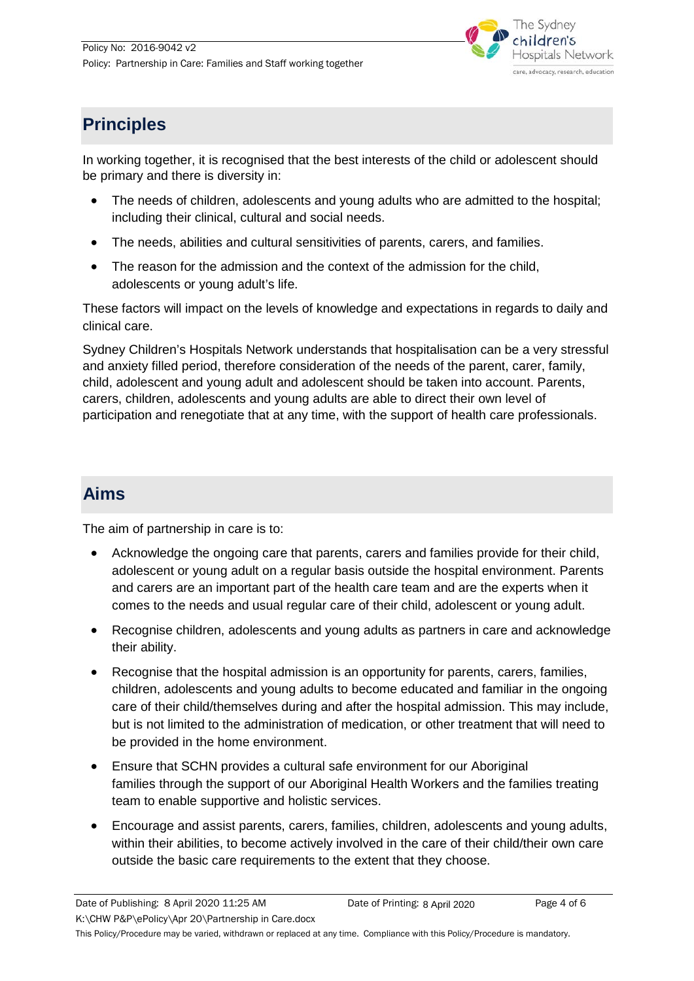

#### **Principles**

In working together, it is recognised that the best interests of the child or adolescent should be primary and there is diversity in:

- The needs of children, adolescents and young adults who are admitted to the hospital; including their clinical, cultural and social needs.
- The needs, abilities and cultural sensitivities of parents, carers, and families.
- The reason for the admission and the context of the admission for the child, adolescents or young adult's life.

These factors will impact on the levels of knowledge and expectations in regards to daily and clinical care.

Sydney Children's Hospitals Network understands that hospitalisation can be a very stressful and anxiety filled period, therefore consideration of the needs of the parent, carer, family, child, adolescent and young adult and adolescent should be taken into account. Parents, carers, children, adolescents and young adults are able to direct their own level of participation and renegotiate that at any time, with the support of health care professionals.

#### **Aims**

The aim of partnership in care is to:

- Acknowledge the ongoing care that parents, carers and families provide for their child, adolescent or young adult on a regular basis outside the hospital environment. Parents and carers are an important part of the health care team and are the experts when it comes to the needs and usual regular care of their child, adolescent or young adult.
- Recognise children, adolescents and young adults as partners in care and acknowledge their ability.
- Recognise that the hospital admission is an opportunity for parents, carers, families, children, adolescents and young adults to become educated and familiar in the ongoing care of their child/themselves during and after the hospital admission. This may include, but is not limited to the administration of medication, or other treatment that will need to be provided in the home environment.
- Ensure that SCHN provides a cultural safe environment for our Aboriginal families through the support of our Aboriginal Health Workers and the families treating team to enable supportive and holistic services.
- Encourage and assist parents, carers, families, children, adolescents and young adults, within their abilities, to become actively involved in the care of their child/their own care outside the basic care requirements to the extent that they choose.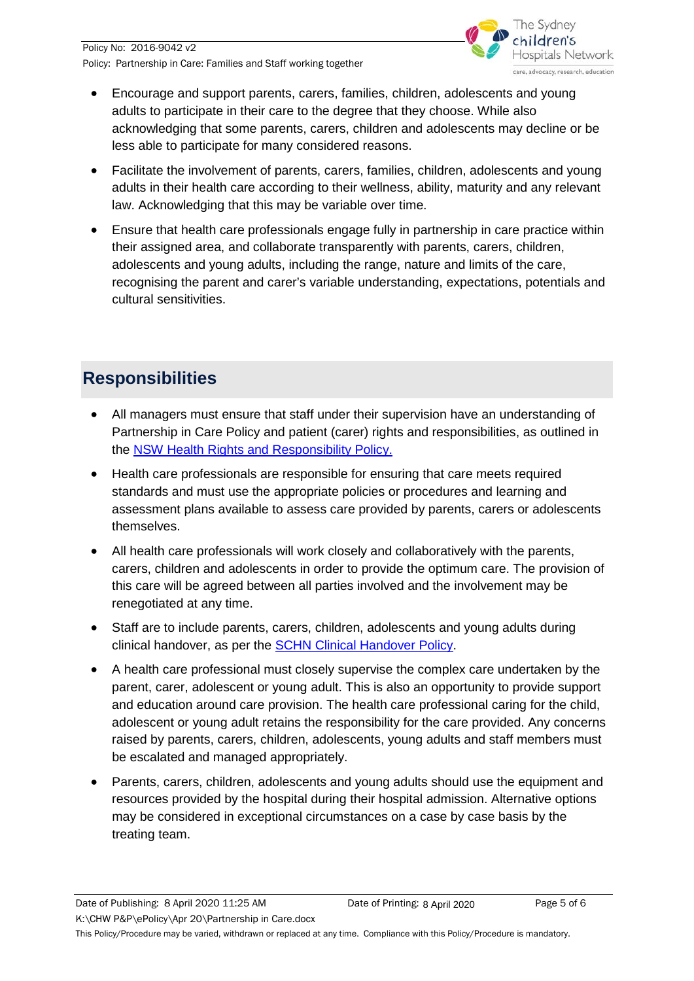

- Encourage and support parents, carers, families, children, adolescents and young adults to participate in their care to the degree that they choose. While also acknowledging that some parents, carers, children and adolescents may decline or be less able to participate for many considered reasons.
- Facilitate the involvement of parents, carers, families, children, adolescents and young adults in their health care according to their wellness, ability, maturity and any relevant law. Acknowledging that this may be variable over time.
- Ensure that health care professionals engage fully in partnership in care practice within their assigned area, and collaborate transparently with parents, carers, children, adolescents and young adults, including the range, nature and limits of the care, recognising the parent and carer's variable understanding, expectations, potentials and cultural sensitivities.

### **Responsibilities**

- All managers must ensure that staff under their supervision have an understanding of Partnership in Care Policy and patient (carer) rights and responsibilities, as outlined in the [NSW Health Rights and Responsibility Policy.](http://www.health.nsw.gov.au/policies/pd/2011/pdf/PD2011_022.pdfhttp:/webapps.schn.health.nsw.gov.au/epolicy/policy/4369)
- Health care professionals are responsible for ensuring that care meets required standards and must use the appropriate policies or procedures and learning and assessment plans available to assess care provided by parents, carers or adolescents themselves.
- All health care professionals will work closely and collaboratively with the parents, carers, children and adolescents in order to provide the optimum care. The provision of this care will be agreed between all parties involved and the involvement may be renegotiated at any time.
- Staff are to include parents, carers, children, adolescents and young adults during clinical handover, as per the [SCHN Clinical Handover Policy.](http://webapps.schn.health.nsw.gov.au/epolicy/policy/4478)
- A health care professional must closely supervise the complex care undertaken by the parent, carer, adolescent or young adult. This is also an opportunity to provide support and education around care provision. The health care professional caring for the child, adolescent or young adult retains the responsibility for the care provided. Any concerns raised by parents, carers, children, adolescents, young adults and staff members must be escalated and managed appropriately.
- Parents, carers, children, adolescents and young adults should use the equipment and resources provided by the hospital during their hospital admission. Alternative options may be considered in exceptional circumstances on a case by case basis by the treating team.